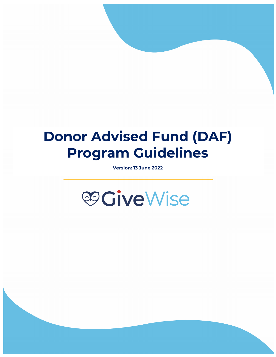# **Donor Advised Fund (DAF) Program Guidelines**

**Version: 13 June 2022**



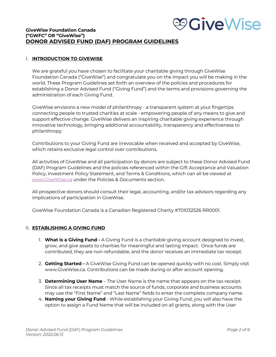

# **GiveWise Foundation Canada ("GWFC" OR "GiveWise") DONOR ADVISED FUND (DAF) PROGRAM GUIDELINES**

#### I. **INTRODUCTION TO GIVEWISE**

We are grateful you have chosen to facilitate your charitable giving through GiveWise Foundation Canada ("GiveWise") and congratulate you on the impact you will be making in the world. These Program Guidelines set forth an overview of the policies and procedures for establishing a Donor Advised Fund ("Giving Fund") and the terms and provisions governing the administration of each Giving Fund.

GiveWise envisions a new model of philanthropy - a transparent system at your fingertips connecting people to trusted charities at scale - empowering people of any means to give and support effective change. GiveWise delivers an inspiring charitable giving experience through innovative technology, bringing additional accountability, transparency and effectiveness to philanthropy.

Contributions to your Giving Fund are irrevocable when received and accepted by GiveWise, which retains exclusive legal control over contributions.

All activities of GiveWise and all participation by donors are subject to these Donor Advised Fund (DAF) Program Guidelines and the policies referenced within the Gift Acceptance and Valuation Policy, Investment Policy Statement, and Terms & Conditions, which can all be viewed at www.GiveWise.ca under the Policies & Documents section.

All prospective donors should consult their legal, accounting, and/or tax advisors regarding any implications of participation in GiveWise.

GiveWise Foundation Canada is a Canadian Registered Charity #701032526 RR0001.

### II. **ESTABLISHING A GIVING FUND**

- 1. **What is a Giving Fund -** A Giving Fund is a charitable giving account designed to invest, grow, and give assets to charities for meaningful and lasting impact. Once funds are contributed, they are non-refundable, and the donor receives an immediate tax receipt.
- 2. **Getting Started -** A GiveWise Giving Fund can be opened quickly with no cost. Simply visit www.GiveWise.ca. Contributions can be made during or after account opening.
- 3. **Determining User Name** The User Name is the name that appears on the tax receipt. Since all tax receipts must match the source of funds, corporate and business accounts may use the "First Name" and "Last Name" fields to enter the complete company name.
- 4. **Naming your Giving Fund** While establishing your Giving Fund, you will also have the option to assign a Fund Name that will be included on all grants, along with the User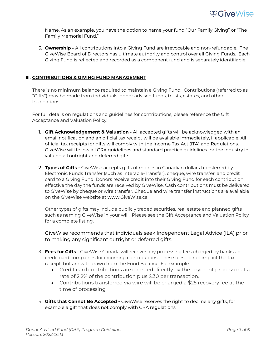Name. As an example, you have the option to name your fund "Our Family Giving" or "The Family Memorial Fund."

5. **Ownership -** All contributions into a Giving Fund are irrevocable and non-refundable. The GiveWise Board of Directors has ultimate authority and control over all Giving Funds. Each Giving Fund is reflected and recorded as a component fund and is separately identifiable.

## **III. CONTRIBUTIONS & GIVING FUND MANAGEMENT**

There is no minimum balance required to maintain a Giving Fund. Contributions (referred to as "Gifts") may be made from individuals, donor advised funds, trusts, estates, and other foundations.

For full details on regulations and guidelines for contributions, please reference the Cift Acceptance and Valuation Policy.

- 1. **Gift Acknowledgement & Valuation -** All accepted gifts will be acknowledged with an email notification and an official tax receipt will be available immediately, if applicable. All official tax receipts for gifts will comply with the Income Tax Act (ITA) and Regulations. GiveWise will follow all CRA guidelines and standard practice guidelines for the industry in valuing all outright and deferred gifts.
- 2. **Types of Gifts -** GiveWise accepts gifts of monies in Canadian dollars transferred by Electronic Funds Transfer (such as Interac e-Transfer), cheque, wire transfer, and credit card to a Giving Fund. Donors receive credit into their Giving Fund for each contribution effective the day the funds are received by GiveWise. Cash contributions must be delivered to GiveWise by cheque or wire transfer. Cheque and wire transfer instructions are available on the GiveWise website at www.GiveWise.ca.

Other types of gifts may include publicly traded securities, real estate and planned gifts such as naming GiveWise in your will. Please see the **Gift Acceptance and Valuation Policy** for a complete listing.

GiveWise recommends that individuals seek Independent Legal Advice (ILA) prior to making any significant outright or deferred gifts.

- 3. **Fees for Gifts** GiveWise Canada will recover any processing fees charged by banks and credit card companies for incoming contributions. These fees do not impact the tax receipt, but are withdrawn from the Fund Balance. For example:
	- Credit card contributions are charged directly by the payment processor at a rate of 2.2% of the contribution plus \$.30 per transaction.
	- Contributions transferred via wire will be charged a \$25 recovery fee at the time of processing.
- 4. **Gifts that Cannot Be Accepted -** GiveWise reserves the right to decline any gifts, for example a gift that does not comply with CRA regulations.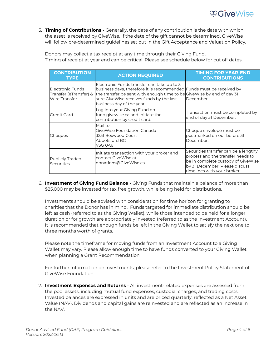5. **Timing of Contributions -** Generally, the date of any contribution is the date with which the asset is received by GiveWise. If the date of the gift cannot be determined, GiveWise will follow pre-determined guidelines set out in the Gift Acceptance and Valuation Policy.

Donors may collect a tax receipt at any time through their Giving Fund. Timing of receipt at year end can be critical. Please see schedule below for cut off dates.

| <b>CONTRIBUTION</b><br><b>TYPE</b>                                 | <b>ACTION REQUIRED</b>                                                                                                                                                                                                                                               | <b>TIMING FOR YEAR-END</b><br><b>CONTRIBUTIONS</b>                                                                                                                               |
|--------------------------------------------------------------------|----------------------------------------------------------------------------------------------------------------------------------------------------------------------------------------------------------------------------------------------------------------------|----------------------------------------------------------------------------------------------------------------------------------------------------------------------------------|
| Electronic Funds<br>Transfer (eTransfer) &<br><b>Wire Transfer</b> | Electronic Funds transfer can take up to 3<br>business days, therefore it is recommended Funds must be received by<br>the transfer be sent with enough time to be GiveWise by end of day 31<br>sure GiveWise receives funds by the last<br>business day of the year. | December.                                                                                                                                                                        |
| Credit Card                                                        | Log into your Giving Fund on<br>fund.givewise.ca and initiate the<br>contribution by credit card.                                                                                                                                                                    | Transaction must be completed by<br>end of day 31 December.                                                                                                                      |
| Cheques                                                            | Mail to:<br>GiveWise Foundation Canada<br>3251 Boxwood Court<br>Abbotsford BC<br><b>V3G 0A6</b>                                                                                                                                                                      | Cheque envelope must be<br>postmarked on our before 31<br>December.                                                                                                              |
| <b>Publicly Traded</b><br><b>Securities</b>                        | Initiate transaction with your broker and<br>contact GiveWise at<br>donations@GiveWise.ca                                                                                                                                                                            | Securities transfer can be a lengthy<br>process and the transfer needs to<br>be in complete custody of GiveWise<br>by 31 December. Please discuss<br>timelines with vour broker. |

6. **Investment of Giving Fund Balance -** Giving Funds that maintain a balance of more than \$25,000 may be invested for tax free growth, while being held for distributions.

Investments should be advised with consideration for time horizon for granting to charities that the Donor has in mind. Funds targeted for immediate distribution should be left as cash (referred to as the Giving Wallet), while those intended to be held for a longer duration or for growth are appropriately invested (referred to as the Investment Account). It is recommended that enough funds be left in the Giving Wallet to satisfy the next one to three months worth of grants.

Please note the timeframe for moving funds from an Investment Account to a Giving Wallet may vary. Please allow enough time to have funds converted to your Giving Wallet when planning a Grant Recommendation.

For further information on investments, please refer to the Investment Policy Statement of GiveWise Foundation.

7. **Investment Expenses and Returns** - All investment-related expenses are assessed from the pool assets, including mutual fund expenses, custodial charges, and trading costs. Invested balances are expressed in units and are priced quarterly, reflected as a Net Asset Value (NAV). Dividends and capital gains are reinvested and are reflected as an increase in the NAV.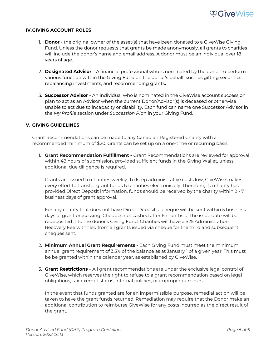

#### **IV.GIVING ACCOUNT ROLES**

- 1. **Donor** the original owner of the asset(s) that have been donated to a GiveWise Giving Fund. Unless the donor requests that grants be made anonymously, all grants to charities will include the donor's name and email address. A donor must be an individual over 18 years of age.
- 2. **Designated Advisor** A financial professional who is nominated by the donor to perform various function within the Giving Fund on the donor's behalf, such as gifting securities, rebalancing investments, and recommending grants**.**
- 3. **Successor Advisor**  An individual who is nominated in the GiveWise account succession plan to act as an Advisor when the current Donor/Advisor(s) is deceased or otherwise unable to act due to incapacity or disability. Each fund can name one Successor Advisor in the *My Profile* section under *Succession Plan* in your Giving Fund.

#### **V. GIVING GUIDELINES**

Grant Recommendations can be made to any Canadian Registered Charity with a recommended minimum of \$20. Grants can be set up on a one-time or recurring basis.

1. **Grant Recommendation Fulfillment -** Grant Recommendations are reviewed for approval within 48 hours of submission, provided sufficient funds in the Giving Wallet, unless additional due diligence is required.

Grants are issued to charities weekly. To keep administrative costs low, GiveWise makes every effort to transfer grant funds to charities electronically. Therefore, if a charity has provided Direct Deposit information, funds should be received by the charity within 2 - 7 business days of grant approval.

For any charity that does not have Direct Deposit, a cheque will be sent within 5 business days of grant processing. Cheques not cashed after 6 months of the issue date will be redeposited into the donor's Giving Fund. Charities will have a \$25 Administration Recovery Fee withheld from all grants issued via cheque for the third and subsequent cheques sent.

- 2. **Minimum Annual Grant Requirements** Each Giving Fund must meet the minimum annual grant requirement of 3.5% of the balance as at January 1 of a given year. This must be be granted within the calendar year, as established by GiveWise.
- 3. **Grant Restrictions** All grant recommendations are under the exclusive legal control of GiveWise, which reserves the right to refuse to a grant recommendation based on legal obligations, tax-exempt status, internal policies, or improper purposes.

In the event that funds granted are for an impermissible purpose, remedial action will be taken to have the grant funds returned. Remediation may require that the Donor make an additional contribution to reimburse GiveWise for any costs incurred as the direct result of the grant.